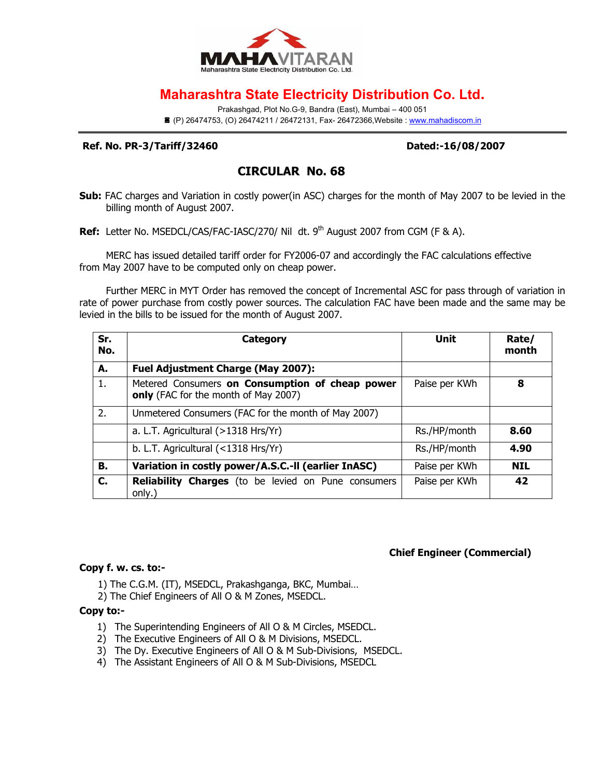

# **Maharashtra State Electricity Distribution Co. Ltd.**

Prakashgad, Plot No.G-9, Bandra (East), Mumbai – 400 051 ■ (P) 26474753, (O) 26474211 / 26472131, Fax- 26472366, Website : www.mahadiscom.in

#### **Ref. No. PR-3/Tariff/32460 Dated:-16/08/2007**

## **CIRCULAR No. 68**

**Sub:** FAC charges and Variation in costly power(in ASC) charges for the month of May 2007 to be levied in the billing month of August 2007.

**Ref:** Letter No. MSEDCL/CAS/FAC-IASC/270/ Nil dt. 9<sup>th</sup> August 2007 from CGM (F & A).

MERC has issued detailed tariff order for FY2006-07 and accordingly the FAC calculations effective from May 2007 have to be computed only on cheap power.

Further MERC in MYT Order has removed the concept of Incremental ASC for pass through of variation in rate of power purchase from costly power sources. The calculation FAC have been made and the same may be levied in the bills to be issued for the month of August 2007.

| Sr.<br>No. | <b>Category</b>                                                                         | Unit          | Rate/<br>month |
|------------|-----------------------------------------------------------------------------------------|---------------|----------------|
| А.         | <b>Fuel Adjustment Charge (May 2007):</b>                                               |               |                |
| 1.         | Metered Consumers on Consumption of cheap power<br>only (FAC for the month of May 2007) | Paise per KWh | 8              |
| 2.         | Unmetered Consumers (FAC for the month of May 2007)                                     |               |                |
|            | a. L.T. Agricultural (>1318 Hrs/Yr)                                                     | Rs./HP/month  | 8.60           |
|            | b. L.T. Agricultural (<1318 Hrs/Yr)                                                     | Rs./HP/month  | 4.90           |
| В.         | Variation in costly power/A.S.C.-II (earlier InASC)                                     | Paise per KWh | <b>NIL</b>     |
| C.         | <b>Reliability Charges</b> (to be levied on Pune consumers<br>only.)                    | Paise per KWh | 42             |

#### **Chief Engineer (Commercial)**

#### **Copy f. w. cs. to:-**

- 1) The C.G.M. (IT), MSEDCL, Prakashganga, BKC, Mumbai…
- 2) The Chief Engineers of All O & M Zones, MSEDCL.

### **Copy to:-**

- 1) The Superintending Engineers of All O & M Circles, MSEDCL.
- 2) The Executive Engineers of All O & M Divisions, MSEDCL.
- 3) The Dy. Executive Engineers of All O & M Sub-Divisions, MSEDCL.
- 4) The Assistant Engineers of All O & M Sub-Divisions, MSEDCL